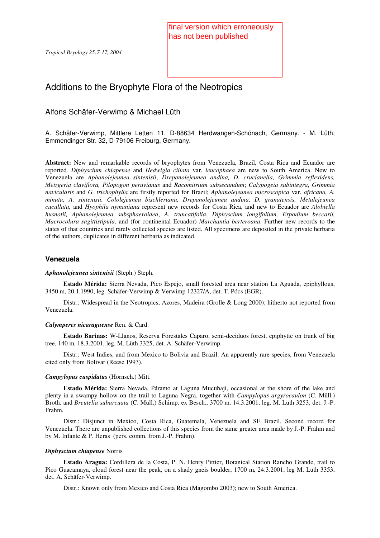# Additions to the Bryophyte Flora of the Neotropics

## Alfons Schäfer-Verwimp & Michael Lüth

A. Schäfer-Verwimp, Mittlere Letten 11, D-88634 Herdwangen-Schönach, Germany. - M. Lüth, Emmendinger Str. 32, D-79106 Freiburg, Germany.

**Abstract:** New and remarkable records of bryophytes from Venezuela, Brazil, Costa Rica and Ecuador are reported*. Diphyscium chiapense* and *Hedwigia ciliata* var. *leucophaea* are new to South America. New to Venezuela are *Aphanolejeunea sintenisii*, *Drepanolejeunea andina, D. crucianella, Grimmia reflexidens, Metzgeria claviflora, Pilopogon peruvianus* and *Racomitrium subsecundum*; *Calypogeia subintegra*, *Grimmia navicularis* and *G. trichophylla* are firstly reported for Brazil; *Aphanolejeunea microscopica* var*. africana, A. minuta, A. sintenisii, Cololejeunea bischleriana, Drepanolejeunea andina, D. granatensis, Metalejeunea cucullata,* and *Hyophila nymaniana* represent new records for Costa Rica, and new to Ecuador are *Alobiella husnotii, Aphanolejeunea subsphaeroidea*, *A. truncatifolia*, *Diphyscium longifolium, Erpodium beccarii, Macrocolura sagittistipula,* and (for continental Ecuador) *Marchantia berteroana*. Further new records to the states of that countries and rarely collected species are listed. All specimens are deposited in the private herbaria of the authors, duplicates in different herbaria as indicated. Chromoge 23:7-17, 2004<br>
This rest them published<br>
This rest them published<br>
This rest them and Costa Rica Costa Rica Costa Rica Costa Rica Costa Rica Costa Rica Costa Rica Costa Rica Costa Rica Costa Rica Costa Rica Costa

## **Venezuela**

## *Aphanolejeunea sintenisii* (Steph.) Steph.

**Estado Mérida:** Sierra Nevada, Pico Espejo, small forested area near station La Aguada, epiphyllous, 3450 m, 20.1.1990, leg. Schäfer-Verwimp & Verwimp 12327/A, det. T. Pócs (EGR).

Distr.: Widespread in the Neotropics, Azores, Madeira (Grolle & Long 2000); hitherto not reported from Venezuela.

## *Calymperes nicaraguense* Ren. & Card.

**Estado Barinas:** W-Llanos, Reserva Forestales Caparo, semi-deciduos forest, epiphytic on trunk of big tree, 140 m, 18.3.2001, leg. M. Lüth 3325, det. A. Schäfer-Verwimp.

Distr.: West Indies, and from Mexico to Bolivia and Brazil. An apparently rare species, from Venezuela cited only from Bolivar (Reese 1993).

## *Campylopus cuspidatus* (Hornsch.) Mitt.

**Estado Mérida:** Sierra Nevada, Páramo at Laguna Mucubaji, occasional at the shore of the lake and plenty in a swampy hollow on the trail to Laguna Negra, together with *Campylopus argyrocaulon* (C. Müll.) Broth. and *Breutelia subarcuata* (C. Müll.) Schimp. ex Besch., 3700 m, 14.3.2001, leg. M. Lüth 3253, det. J.-P. Frahm.

Distr.: Disjunct in Mexico, Costa Rica, Guatemala, Venezuela and SE Brazil. Second record for Venezuela. There are unpublished collections of this species from the same greater area made by J.-P. Frahm and by M. Infante & P. Heras (pers. comm. from J.-P. Frahm).

## *Diphyscium chiapense* Norris

**Estado Aragua:** Cordillera de la Costa, P. N. Henry Pittier, Botanical Station Rancho Grande, trail to Pico Guacamaya, cloud forest near the peak, on a shady gneis boulder, 1700 m, 24.3.2001, leg M. Lüth 3353, det. A. Schäfer-Verwimp.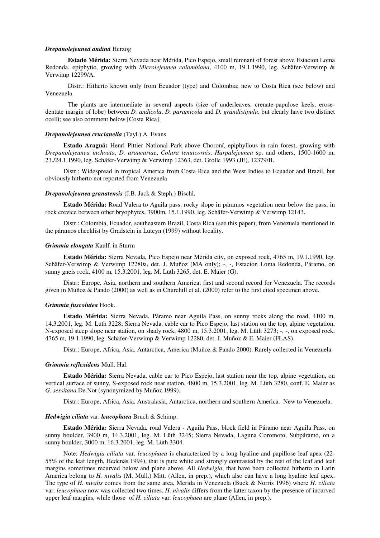### *Drepanolejeunea andina* Herzog

**Estado Mérida:** Sierra Nevada near Mérida, Pico Espejo, small remnant of forest above Estacion Loma Redonda, epiphytic, growing with *Microlejeunea colombiana*, 4100 m, 19.1.1990, leg. Schäfer-Verwimp & Verwimp 12299/A.

Distr.: Hitherto known only from Ecuador (type) and Colombia; new to Costa Rica (see below) and Venezuela.

The plants are intermediate in several aspects (size of underleaves, crenate-papulose keels, erosedentate margin of lobe) between *D. andicola*, *D. paramicola* and *D. grandistipula*, but clearly have two distinct ocelli; see also comment below [Costa Rica].

#### *Drepanolejeunea crucianella* (Tayl.) A. Evans

**Estado Araguá:** Henri Pittier National Park above Choroní, epiphyllous in rain forest, growing with *Drepanolejeunea inchoata*, *D. araucariae*, *Colura tenuicornis*, *Harpalejeunea* sp. and others, 1500-1600 m, 23./24.1.1990, leg. Schäfer-Verwimp & Verwimp 12363, det. Grolle 1993 (JE), 12379/B.

Distr.: Widespread in tropical America from Costa Rica and the West Indies to Ecuador and Brazil, but obviously hitherto not reported from Venezuela

## *Drepanolejeunea granatensis* (J.B. Jack & Steph.) Bischl.

**Estado Mérida:** Road Valera to Aguila pass, rocky slope in páramos vegetation near below the pass, in rock crevice between other bryophytes, 3900m, 15.1.1990, leg. Schäfer-Verwimp & Verwimp 12143.

Distr.: Colombia, Ecuador, southeastern Brazil, Costa Rica (see this paper); from Venezuela mentioned in the páramos checklist by Gradstein in Luteyn (1999) without locality.

### *Grimmia elongata* Kaulf. in Sturm

**Estado Mérida:** Sierra Nevada, Pico Espejo near Mérida city, on exposed rock, 4765 m, 19.1.1990, leg. Schäfer-Verwimp & Verwimp 12280a, det. J. Muñoz (MA only); -, -, Estacion Loma Redonda, Páramo, on sunny gneis rock, 4100 m, 15.3.2001, leg. M. Lüth 3265, det. E. Maier (G).

Distr.: Europe, Asia, northern and southern America; first and second record for Venezuela. The records given in Muñoz & Pando (2000) as well as in Churchill et al. (2000) refer to the first cited specimen above.

#### *Grimmia fuscolutea* Hook.

**Estado Mérida:** Sierra Nevada, Páramo near Aguila Pass, on sunny rocks along the road, 4100 m, 14.3.2001, leg. M. Lüth 3228; Sierra Nevada, cable car to Pico Espejo, last station on the top, alpine vegetation, N-exposed steep slope near station, on shady rock, 4800 m, 15.3.2001, leg. M. Lüth 3273; -, -, on exposed rock, 4765 m, 19.1.1990, leg. Schäfer-Verwimp & Verwimp 12280, det. J. Muñoz & E. Maier (FLAS).

Distr.: Europe, Africa, Asia, Antarctica, America (Muñoz & Pando 2000). Rarely collected in Venezuela.

#### *Grimmia reflexidens* Müll. Hal.

**Estado Mérida:** Sierra Nevada, cable car to Pico Espejo, last station near the top, alpine vegetation, on vertical surface of sunny, S-exposed rock near station, 4800 m, 15.3.2001, leg. M. Lüth 3280, conf. E. Maier as *G. sessitana* De Not (synonymized by Muñoz 1999).

Distr.: Europe, Africa, Asia, Australasia, Antarctica, northern and southern America. New to Venezuela.

## *Hedwigia ciliata* var. *leucophaea* Bruch & Schimp.

**Estado Mérida:** Sierra Nevada, road Valera - Aguila Pass, block field in Páramo near Aguila Pass, on sunny boulder, 3900 m, 14.3.2001, leg. M. Lüth 3245; Sierra Nevada, Laguna Coromoto, Subpáramo, on a sunny boulder, 3000 m, 16.3.2001, leg. M. Lüth 3304.

Note: *Hedwigia ciliata* var. *leucophaea* is characterized by a long hyaline and papillose leaf apex (22- 55% of the leaf length, Hedenäs 1994), that is pure white and strongly contrasted by the rest of the leaf and leaf margins sometimes recurved below and plane above. All *Hedwigia*, that have been collected hitherto in Latin America belong to *H. nivalis* (M. Müll.) Mitt. (Allen, in prep.), which also can have a long hyaline leaf apex. The type of *H. nivalis* comes from the same area, Merida in Venezuela (Buck & Norris 1996) where *H. ciliata* var. *leucophaea* now was collected two times. *H. nivalis* differs from the latter taxon by the presence of incurved upper leaf margins, while those of *H. ciliata* var*. leucophaea* are plane (Allen, in prep.).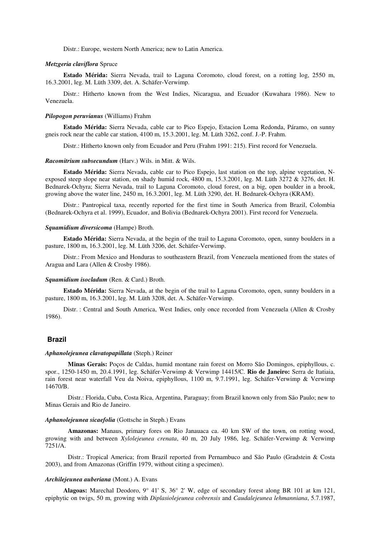Distr.: Europe, western North America; new to Latin America.

#### *Metzgeria claviflora* Spruce

**Estado Mérida:** Sierra Nevada, trail to Laguna Coromoto, cloud forest, on a rotting log, 2550 m, 16.3.2001, leg. M. Lüth 3309, det. A. Schäfer-Verwimp.

Distr.: Hitherto known from the West Indies, Nicaragua, and Ecuador (Kuwahara 1986). New to Venezuela.

#### *Pilopogon peruvianus* (Williams) Frahm

**Estado Mérida:** Sierra Nevada, cable car to Pico Espejo, Estacion Loma Redonda, Páramo, on sunny gneis rock near the cable car station, 4100 m, 15.3.2001, leg. M. Lüth 3262, conf. J.-P. Frahm.

Distr.: Hitherto known only from Ecuador and Peru (Frahm 1991: 215). First record for Venezuela.

#### *Racomitrium subsecundum* (Harv.) Wils. in Mitt. & Wils.

**Estado Mérida:** Sierra Nevada, cable car to Pico Espejo, last station on the top, alpine vegetation, Nexposed steep slope near station, on shady humid rock, 4800 m, 15.3.2001, leg. M. Lüth 3272 & 3276, det. H. Bednarek-Ochyra; Sierra Nevada, trail to Laguna Coromoto, cloud forest, on a big, open boulder in a brook, growing above the water line, 2450 m, 16.3.2001, leg. M. Lüth 3290, det. H. Bednarek-Ochyra (KRAM).

Distr.: Pantropical taxa, recently reported for the first time in South America from Brazil, Colombia (Bednarek-Ochyra et al. 1999), Ecuador, and Bolivia (Bednarek-Ochyra 2001). First record for Venezuela.

## *Squamidium diversicoma* (Hampe) Broth.

**Estado Mérida:** Sierra Nevada, at the begin of the trail to Laguna Coromoto, open, sunny boulders in a pasture, 1800 m, 16.3.2001, leg. M. Lüth 3206, det. Schäfer-Verwimp.

Distr.: From Mexico and Honduras to southeastern Brazil, from Venezuela mentioned from the states of Aragua and Lara (Allen & Crosby 1986).

#### *Squamidium isocladum* (Ren. & Card.) Broth.

**Estado Mérida:** Sierra Nevada, at the begin of the trail to Laguna Coromoto, open, sunny boulders in a pasture, 1800 m, 16.3.2001, leg. M. Lüth 3208, det. A. Schäfer-Verwimp.

Distr. : Central and South America, West Indies, only once recorded from Venezuela (Allen & Crosby 1986).

## **Brazil**

## *Aphanolejeunea clavatopapillata* (Steph.) Reiner

**Minas Gerais:** Poços de Caldas, humid montane rain forest on Morro São Domingos, epiphyllous, c. spor., 1250-1450 m, 20.4.1991, leg. Schäfer-Verwimp & Verwimp 14415/C. **Rio de Janeiro:** Serra de Itatiaia, rain forest near waterfall Veu da Noiva, epiphyllous, 1100 m, 9.7.1991, leg. Schäfer-Verwimp & Verwimp 14670/B.

Distr.: Florida, Cuba, Costa Rica, Argentina, Paraguay; from Brazil known only from São Paulo; new to Minas Gerais and Rio de Janeiro.

#### *Aphanolejeunea sicaefolia* (Gottsche in Steph.) Evans

**Amazonas:** Manaus, primary fores on Rio Janauaca ca. 40 km SW of the town, on rotting wood, growing with and between *Xylolejeunea crenata*, 40 m, 20 July 1986, leg. Schäfer-Verwimp & Verwimp 7251/A.

Distr.: Tropical America; from Brazil reported from Pernambuco and São Paulo (Gradstein & Costa 2003), and from Amazonas (Griffin 1979, without citing a specimen).

## *Archilejeunea auberiana* (Mont.) A. Evans

**Alagoas:** Marechal Deodoro, 9° 41' S, 36° 2' W, edge of secondary forest along BR 101 at km 121, epiphytic on twigs, 50 m, growing with *Diplasiolejeunea cobrensis* and *Caudalejeunea lehmanniana*, 5.7.1987,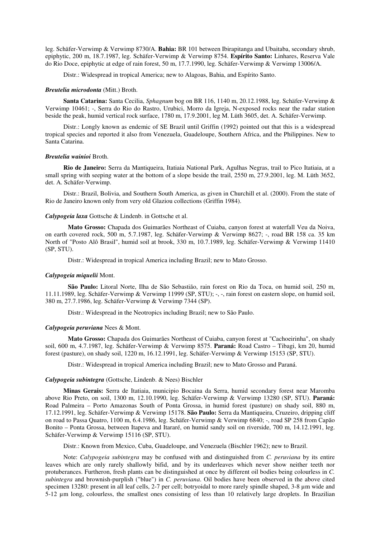leg. Schäfer-Verwimp & Verwimp 8730/A. **Bahia:** BR 101 between Ibirapitanga and Ubaitaba, secondary shrub, epiphytic, 200 m, 18.7.1987, leg. Schäfer-Verwimp & Verwimp 8754. **Espírito Santo:** Linhares, Reserva Vale do Rio Doce, epiphytic at edge of rain forest, 50 m, 17.7.1990, leg. Schäfer-Verwimp & Verwimp 13006/A.

Distr.: Widespread in tropical America; new to Alagoas, Bahia, and Espírito Santo.

## *Breutelia microdonta* (Mitt.) Broth.

**Santa Catarina:** Santa Cecilia, *Sphagnum* bog on BR 116, 1140 m, 20.12.1988, leg. Schäfer-Verwimp & Verwimp 10461; -, Serra do Rio do Rastro, Urubici, Morro da Igreja, N-exposed rocks near the radar station beside the peak, humid vertical rock surface, 1780 m, 17.9.2001, leg M. Lüth 3605, det. A. Schäfer-Verwimp.

Distr.: Longly known as endemic of SE Brazil until Griffin (1992) pointed out that this is a widespread tropical species and reported it also from Venezuela, Guadeloupe, Southern Africa, and the Philippines. New to Santa Catarina.

## *Breutelia wainioi* Broth.

**Rio de Janeiro:** Serra da Mantiqueira, Itatiaia National Park, Agulhas Negras, trail to Pico Itatiaia, at a small spring with seeping water at the bottom of a slope beside the trail, 2550 m, 27.9.2001, leg. M. Lüth 3652, det. A. Schäfer-Verwimp.

Distr.: Brazil, Bolivia, and Southern South America, as given in Churchill et al. (2000). From the state of Rio de Janeiro known only from very old Glaziou collections (Griffin 1984).

## *Calypogeia laxa* Gottsche & Lindenb. in Gottsche et al.

**Mato Grosso:** Chapada dos Guimarães Northeast of Cuiaba, canyon forest at waterfall Veu da Noiva, on earth covered rock, 500 m, 5.7.1987, leg. Schäfer-Verwimp & Verwimp 8627; -, road BR 158 ca. 35 km North of "Posto Alô Brasil", humid soil at brook, 330 m, 10.7.1989, leg. Schäfer-Verwimp & Verwimp 11410 (SP, STU).

Distr.: Widespread in tropical America including Brazil; new to Mato Grosso.

## *Calypogeia miquelii* Mont.

**São Paulo:** Litoral Norte, Ilha de São Sebastião, rain forest on Rio da Toca, on humid soil, 250 m, 11.11.1989, leg. Schäfer-Verwimp & Verwimp 11999 (SP, STU); -, -, rain forest on eastern slope, on humid soil, 380 m, 27.7.1986, leg. Schäfer-Verwimp & Verwimp 7344 (SP).

Distr.: Widespread in the Neotropics including Brazil; new to São Paulo.

#### *Calypogeia peruviana* Nees & Mont.

**Mato Grosso:** Chapada dos Guimarães Northeast of Cuiaba, canyon forest at "Cachoeirinha", on shady soil, 600 m, 4.7.1987, leg. Schäfer-Verwimp & Verwimp 8575. **Paraná:** Road Castro – Tibagi, km 20, humid forest (pasture), on shady soil, 1220 m, 16.12.1991, leg. Schäfer-Verwimp & Verwimp 15153 (SP, STU).

Distr.: Widespread in tropical America including Brazil; new to Mato Grosso and Paraná.

#### *Calypogeia subintegra* (Gottsche, Lindenb. & Nees) Bischler

**Minas Gerais:** Serra de Itatiaia, municipio Bocaina da Serra, humid secondary forest near Maromba above Rio Preto, on soil, 1300 m, 12.10.1990, leg. Schäfer-Verwimp & Verwimp 13280 (SP, STU). **Paraná:** Road Palmeira – Porto Amazonas South of Ponta Grossa, in humid forest (pasture) on shady soil, 880 m, 17.12.1991, leg. Schäfer-Verwimp & Verwimp 15178. **São Paulo:** Serra da Mantiqueira, Cruzeiro, dripping cliff on road to Passa Quatro, 1100 m, 6.4.1986, leg. Schäfer-Verwimp & Verwimp 6840; -, road SP 258 from Capão Bonito – Ponta Grossa, between Itapeva and Itararé, on humid sandy soil on riverside, 700 m, 14.12.1991, leg. Schäfer-Verwimp & Verwimp 15116 (SP, STU).

Distr.: Known from Mexico, Cuba, Guadeloupe, and Venezuela (Bischler 1962); new to Brazil.

Note: *Calypogeia subintegra* may be confused with and distinguished from *C. peruviana* by its entire leaves which are only rarely shallowly bifid, and by its underleaves which never show neither teeth nor protuberances. Furtheron, fresh plants can be distinguished at once by different oil bodies being colourless in *C. subintegra* and brownish-purplish ("blue") in *C. peruviana*. Oil bodies have been observed in the above cited specimen 13280: present in all leaf cells, 2-7 per cell; botryoidal to more rarely spindle shaped, 3-8  $\mu$ m wide and 5-12 µm long, colourless, the smallest ones consisting of less than 10 relatively large droplets. In Brazilian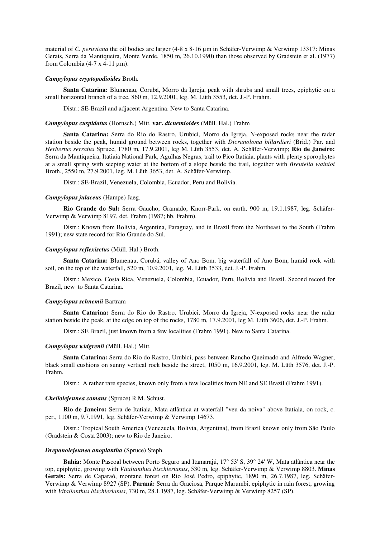material of *C. peruviana* the oil bodies are larger (4-8 x 8-16 µm in Schäfer-Verwimp & Verwimp 13317: Minas Gerais, Serra da Mantiqueira, Monte Verde, 1850 m, 26.10.1990) than those observed by Gradstein et al. (1977) from Colombia (4-7 x 4-11  $\mu$ m).

## *Campylopus cryptopodioides* Broth.

**Santa Catarina:** Blumenau, Corubá, Morro da Igreja, peak with shrubs and small trees, epiphytic on a small horizontal branch of a tree, 860 m, 12.9.2001, leg. M. Lüth 3553, det. J.-P. Frahm.

Distr.: SE-Brazil and adjacent Argentina. New to Santa Catarina.

#### *Campylopus cuspidatus* (Hornsch.) Mitt. **var.** *dicnemioides* (Müll. Hal.) Frahm

**Santa Catarina:** Serra do Rio do Rastro, Urubici, Morro da Igreja, N-exposed rocks near the radar station beside the peak, humid ground between rocks, together with *Dicranoloma billardieri* (Brid.) Par. and *Herbertus serratus* Spruce, 1780 m, 17.9.2001, leg M. Lüth 3553, det. A. Schäfer-Verwimp; **Rio de Janeiro:** Serra da Mantiqueira, Itatiaia National Park, Agulhas Negras, trail to Pico Itatiaia, plants with plenty sporophytes at a small spring with seeping water at the bottom of a slope beside the trail, together with *Breutelia wainioi* Broth., 2550 m, 27.9.2001, leg. M. Lüth 3653, det. A. Schäfer-Verwimp.

Distr.: SE-Brazil, Venezuela, Colombia, Ecuador, Peru and Bolivia.

#### *Campylopus julaceus* (Hampe) Jaeg.

**Rio Grande do Sul:** Serra Gaucho, Gramado, Knorr-Park, on earth, 900 m, 19.1.1987, leg. Schäfer-Verwimp & Verwimp 8197, det. Frahm (1987; hb. Frahm).

Distr.: Known from Bolivia, Argentina, Paraguay, and in Brazil from the Northeast to the South (Frahm 1991); new state record for Rio Grande do Sul.

## *Campylopus reflexisetus* (Müll. Hal.) Broth.

**Santa Catarina:** Blumenau, Corubá, valley of Ano Bom, big waterfall of Ano Bom, humid rock with soil, on the top of the waterfall, 520 m, 10.9.2001, leg. M. Lüth 3533, det. J.-P. Frahm.

Distr.: Mexico, Costa Rica, Venezuela, Colombia, Ecuador, Peru, Bolivia and Brazil. Second record for Brazil, new to Santa Catarina.

#### *Campylopus sehnemii* Bartram

**Santa Catarina:** Serra do Rio do Rastro, Urubici, Morro da Igreja, N-exposed rocks near the radar station beside the peak, at the edge on top of the rocks, 1780 m, 17.9.2001, leg M. Lüth 3606, det. J.-P. Frahm.

Distr.: SE Brazil, just known from a few localities (Frahm 1991). New to Santa Catarina.

## *Campylopus widgrenii* (Müll. Hal.) Mitt.

**Santa Catarina:** Serra do Rio do Rastro, Urubici, pass between Rancho Queimado and Alfredo Wagner, black small cushions on sunny vertical rock beside the street, 1050 m, 16.9.2001, leg. M. Lüth 3576, det. J.-P. Frahm.

Distr.: A rather rare species, known only from a few localities from NE and SE Brazil (Frahm 1991).

## *Cheilolejeunea comans* (Spruce) R.M. Schust.

**Rio de Janeiro:** Serra de Itatiaia, Mata atlântica at waterfall "veu da noiva" above Itatiaia, on rock, c. per., 1100 m, 9.7.1991, leg. Schäfer-Verwimp & Verwimp 14673.

Distr.: Tropical South America (Venezuela, Bolivia, Argentina), from Brazil known only from São Paulo (Gradstein & Costa 2003); new to Rio de Janeiro.

## *Drepanolejeunea anoplantha* (Spruce) Steph.

**Bahia:** Monte Pascoal between Porto Seguro and Itamarajú, 17° 53' S, 39° 24' W, Mata atlântica near the top, epiphytic, growing with *Vitalianthus bischlerianus*, 530 m, leg. Schäfer-Verwimp & Verwimp 8803. **Minas Gerais:** Serra de Caparaó, montane forest on Rio José Pedro, epiphytic, 1890 m, 26.7.1987, leg. Schäfer-Verwimp & Verwimp 8927 (SP). **Paraná:** Serra da Graciosa, Parque Marumbi, epiphytic in rain forest, growing with *Vitalianthus bischlerianus*, 730 m, 28.1.1987, leg. Schäfer-Verwimp & Verwimp 8257 (SP).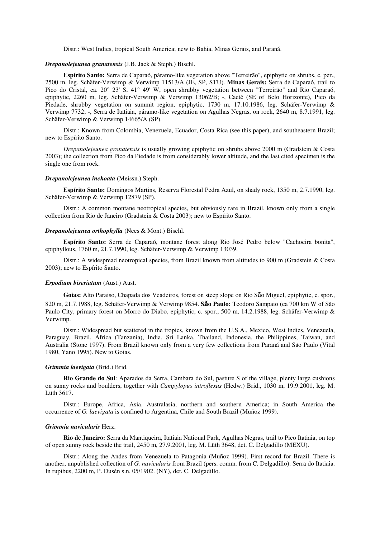Distr.: West Indies, tropical South America; new to Bahia, Minas Gerais, and Paraná.

## *Drepanolejeunea granatensis* (J.B. Jack & Steph.) Bischl.

**Espírito Santo:** Serra de Caparaó, páramo-like vegetation above "Terreirão", epiphytic on shrubs, c. per., 2500 m, leg. Schäfer-Verwimp & Verwimp 11513/A (JE, SP, STU). **Minas Gerais:** Serra de Caparaó, trail to Pico do Cristal, ca. 20° 23' S, 41° 49' W, open shrubby vegetation between "Terreirão" and Rio Caparaó, epiphytic, 2260 m, leg. Schäfer-Verwimp & Verwimp 13062/B; -, Caeté (SE of Belo Horizonte), Pico da Piedade, shrubby vegetation on summit region, epiphytic, 1730 m, 17.10.1986, leg. Schäfer-Verwimp & Verwimp 7732; -, Serra de Itatiaia, páramo-like vegetation on Agulhas Negras, on rock, 2640 m, 8.7.1991, leg. Schäfer-Verwimp & Verwimp 14665/A (SP).

Distr.: Known from Colombia, Venezuela, Ecuador, Costa Rica (see this paper), and southeastern Brazil; new to Espírito Santo.

*Drepanolejeunea granatensis* is usually growing epiphytic on shrubs above 2000 m (Gradstein & Costa 2003); the collection from Pico da Piedade is from considerably lower altitude, and the last cited specimen is the single one from rock.

## *Drepanolejeunea inchoata* (Meissn.) Steph.

**Espírito Santo:** Domingos Martins, Reserva Florestal Pedra Azul, on shady rock, 1350 m, 2.7.1990, leg. Schäfer-Verwimp & Verwimp 12879 (SP).

Distr.: A common montane neotropical species, but obviously rare in Brazil, known only from a single collection from Rio de Janeiro (Gradstein & Costa 2003); new to Espírito Santo.

#### *Drepanolejeunea orthophylla* (Nees & Mont.) Bischl.

**Espírito Santo:** Serra de Caparaó, montane forest along Rio José Pedro below "Cachoeira bonita", epiphyllous, 1760 m, 21.7.1990, leg. Schäfer-Verwimp & Verwimp 13039.

Distr.: A widespread neotropical species, from Brazil known from altitudes to 900 m (Gradstein & Costa 2003); new to Espírito Santo.

## *Erpodium biseriatum* (Aust.) Aust.

**Goias:** Alto Paraiso, Chapada dos Veadeiros, forest on steep slope on Rio São Miguel, epiphytic, c. spor., 820 m, 21.7.1988, leg. Schäfer-Verwimp & Verwimp 9854. **São Paulo:** Teodoro Sampaio (ca 700 km W of São Paulo City, primary forest on Morro do Diabo, epiphytic, c. spor., 500 m, 14.2.1988, leg. Schäfer-Verwimp & Verwimp.

Distr.: Widespread but scattered in the tropics, known from the U.S.A., Mexico, West Indies, Venezuela, Paraguay, Brazil, Africa (Tanzania), India, Sri Lanka, Thailand, Indonesia, the Philippines, Taiwan, and Australia (Stone 1997). From Brazil known only from a very few collections from Paraná and São Paulo (Vital 1980, Yano 1995). New to Goias.

#### *Grimmia laevigata* (Brid.) Brid.

**Rio Grande do Sul**: Aparados da Serra, Cambara do Sul, pasture S of the village, plenty large cushions on sunny rocks and boulders, together with *Campylopus introflexus* (Hedw.) Brid., 1030 m, 19.9.2001, leg. M. Lüth 3617.

Distr.: Europe, Africa, Asia, Australasia, northern and southern America; in South America the occurrence of *G. laevigata* is confined to Argentina, Chile and South Brazil (Muñoz 1999).

#### *Grimmia navicularis* Herz.

**Rio de Janeiro:** Serra da Mantiqueira, Itatiaia National Park, Agulhas Negras, trail to Pico Itatiaia, on top of open sunny rock beside the trail, 2450 m, 27.9.2001, leg. M. Lüth 3648, det. C. Delgadillo (MEXU).

Distr.: Along the Andes from Venezuela to Patagonia (Muñoz 1999). First record for Brazil. There is another, unpublished collection of *G. navicularis* from Brazil (pers. comm. from C. Delgadillo): Serra do Itatiaia. In rupibus, 2200 m, P. Dusén s.n. 05/1902. (NY), det. C. Delgadillo.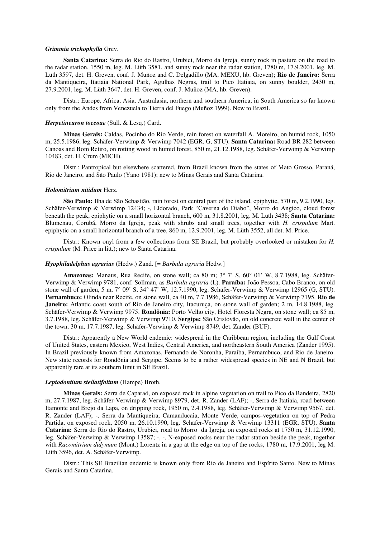#### *Grimmia trichophylla* Grev.

**Santa Catarina:** Serra do Rio do Rastro, Urubici, Morro da Igreja, sunny rock in pasture on the road to the radar station, 1550 m, leg. M. Lüth 3581, and sunny rock near the radar station, 1780 m, 17.9.2001, leg. M. Lüth 3597, det. H. Greven, conf. J. Muñoz and C. Delgadillo (MA, MEXU, hb. Greven); **Rio de Janeiro:** Serra da Mantiqueira, Itatiaia National Park, Agulhas Negras, trail to Pico Itatiaia, on sunny boulder, 2430 m, 27.9.2001, leg. M. Lüth 3647, det. H. Greven, conf. J. Muñoz (MA, hb. Greven).

Distr.: Europe, Africa, Asia, Australasia, northern and southern America; in South America so far known only from the Andes from Venezuela to Tierra del Fuego (Muñoz 1999). New to Brazil.

#### *Herpetineuron toccoae* (Sull. & Lesq.) Card.

**Minas Gerais:** Caldas, Pocinho do Rio Verde, rain forest on waterfall A. Moreiro, on humid rock, 1050 m, 25.5.1986, leg. Schäfer-Verwimp & Verwimp 7042 (EGR, G, STU). **Santa Catarina:** Road BR 282 between Canoas and Bom Retiro, on rotting wood in humid forest, 850 m, 21.12.1988, leg. Schäfer-Verwimp & Verwimp 10483, det. H. Crum (MICH).

Distr.: Pantropical but elsewhere scattered, from Brazil known from the states of Mato Grosso, Paraná, Rio de Janeiro, and São Paulo (Yano 1981); new to Minas Gerais and Santa Catarina.

#### *Holomitrium nitidum* Herz.

**São Paulo:** Ilha de São Sebastião, rain forest on central part of the island, epiphytic, 570 m, 9.2.1990, leg. Schäfer-Verwimp & Verwimp 12434; -, Eldorado, Park "Caverna do Diabo", Morro do Angico, cloud forest beneath the peak, epiphytic on a small horizontal branch, 600 m, 31.8.2001, leg. M. Lüth 3438; **Santa Catarina:** Blumenau, Corubá, Morro da Igreja, peak with shrubs and small trees, together with *H. crispulum* Mart. epiphytic on a small horizontal branch of a tree, 860 m, 12.9.2001, leg. M. Lüth 3552, all det. M. Price.

Distr.: Known onyl from a few collections from SE Brazil, but probably overlooked or mistaken for *H. crispulum* (M. Price in litt.); new to Santa Catarina.

## *Hyophiladelphus agrarius* (Hedw.) Zand. [= *Barbula agraria* Hedw.]

**Amazonas:** Manaus, Rua Recife, on stone wall; ca 80 m; 3° 7' S, 60° 01' W, 8.7.1988, leg. Schäfer-Verwimp & Verwimp 9781, conf. Sollman, as *Barbula agraria* (L). **Paraíba:** João Pessoa, Cabo Branco, on old stone wall of garden, 5 m, 7° 09' S, 34° 47' W, 12.7.1990, leg. Schäfer-Verwimp & Verwimp 12965 (G, STU). **Pernambuco:** Olinda near Recife, on stone wall, ca 40 m, 7.7.1986, Schäfer-Verwimp & Verwimp 7195. **Rio de Janeiro:** Atlantic coast south of Rio de Janeiro city, Itacuruca, on stone wall of garden; 2 m, 14.8.1988, leg. Schäfer-Verwimp & Verwimp 9975. **Rondônia:** Porto Velho city, Hotel Floresta Negra, on stone wall; ca 85 m, 3.7.1988, leg. Schäfer-Verwimp & Verwimp 9710. **Sergipe:** São Cristovão, on old concrete wall in the center of the town, 30 m, 17.7.1987, leg. Schäfer-Verwimp & Verwimp 8749, det. Zander (BUF).

Distr.: Apparently a New World endemic: widespread in the Caribbean region, including the Gulf Coast of United States, eastern Mexico, West Indies, Central America, and northeastern South America (Zander 1995). In Brazil previously known from Amazonas, Fernando de Noronha, Paraiba, Pernambuco, and Rio de Janeiro. New state records for Rondônia and Sergipe. Seems to be a rather widespread species in NE and N Brazil, but apparently rare at its southern limit in SE Brazil.

## *Leptodontium stellatifolium* (Hampe) Broth.

**Minas Gerais:** Serra de Caparaó, on exposed rock in alpine vegetation on trail to Pico da Bandeira, 2820 m, 27.7.1987, leg. Schäfer-Verwimp & Verwimp 8979, det. R. Zander (LAF); -, Serra de Itatiaia, road between Itamonte and Brejo da Lapa, on dripping rock, 1950 m, 2.4.1988, leg. Schäfer-Verwimp & Verwimp 9567, det. R. Zander (LAF); -, Serra da Mantiqueira, Camanducaia, Monte Verde, campos-vegetation on top of Pedra Partida, on exposed rock, 2050 m, 26.10.1990, leg. Schäfer-Verwimp & Verwimp 13311 (EGR, STU). **Santa Catarina:** Serra do Rio do Rastro, Urubici, road to Morro da Igreja, on exposed rocks at 1750 m, 31.12.1990, leg. Schäfer-Verwimp & Verwimp 13587; -, -, N-exposed rocks near the radar station beside the peak, together with *Racomitrium didymum* (Mont.) Lorentz in a gap at the edge on top of the rocks, 1780 m, 17.9.2001, leg M. Lüth 3596, det. A. Schäfer-Verwimp.

Distr.: This SE Brazilian endemic is known only from Rio de Janeiro and Espírito Santo. New to Minas Gerais and Santa Catarina.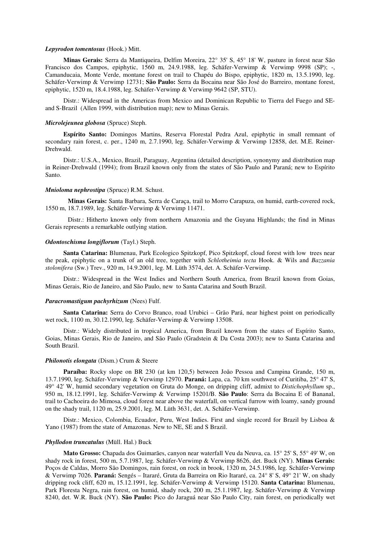#### *Lepyrodon tomentosus* (Hook.) Mitt.

**Minas Gerais:** Serra da Mantiqueira, Delfim Moreira, 22° 35' S, 45° 18' W, pasture in forest near São Francisco dos Campos, epiphytic, 1560 m, 24.9.1988, leg. Schäfer-Verwimp & Verwimp 9998 (SP); -, Camanducaia, Monte Verde, montane forest on trail to Chapéu do Bispo, epiphytic, 1820 m, 13.5.1990, leg. Schäfer-Verwimp & Verwimp 12731; **São Paulo:** Serra da Bocaina near São José do Barreiro, montane forest, epiphytic, 1520 m, 18.4.1988, leg. Schäfer-Verwimp & Verwimp 9642 (SP, STU).

Distr.: Widespread in the Americas from Mexico and Dominican Republic to Tierra del Fuego and SEand S-Brazil (Allen 1999, with distribution map); new to Minas Gerais.

#### *Microlejeunea globosa* (Spruce) Steph.

**Espírito Santo:** Domingos Martins, Reserva Florestal Pedra Azul, epiphytic in small remnant of secondary rain forest, c. per., 1240 m, 2.7.1990, leg. Schäfer-Verwimp & Verwimp 12858, det. M.E. Reiner-Drehwald.

Distr.: U.S.A., Mexico, Brazil, Paraguay, Argentina (detailed description, synonymy and distribution map in Reiner-Drehwald (1994); from Brazil known only from the states of São Paulo and Paraná; new to Espírito Santo.

#### *Mnioloma nephrostipa* (Spruce) R.M. Schust.

**Minas Gerais:** Santa Barbara, Serra de Caraça, trail to Morro Carapuza, on humid, earth-covered rock, 1550 m, 18.7.1989, leg. Schäfer-Verwimp & Verwimp 11471.

Distr.: Hitherto known only from northern Amazonia and the Guyana Highlands; the find in Minas Gerais represents a remarkable outlying station.

## *Odontoschisma longiflorum* (Tayl.) Steph.

**Santa Catarina:** Blumenau, Park Ecologico Spitzkopf, Pico Spitzkopf, cloud forest with low trees near the peak, epiphytic on a trunk of an old tree, together with *Schlotheimia tecta* Hook. & Wils and *Bazzania stolonifera* (Sw.) Trev., 920 m, 14.9.2001, leg. M. Lüth 3574, det. A. Schäfer-Verwimp.

Distr.: Widespread in the West Indies and Northern South America, from Brazil known from Goias, Minas Gerais, Rio de Janeiro, and São Paulo, new to Santa Catarina and South Brazil.

#### *Paracromastigum pachyrhizum* (Nees) Fulf.

**Santa Catarina:** Serra do Corvo Branco, road Urubici – Grão Pará, near highest point on periodically wet rock, 1100 m, 30.12.1990, leg. Schäfer-Verwimp & Verwimp 13508.

Distr.: Widely distributed in tropical America, from Brazil known from the states of Espírito Santo, Goias, Minas Gerais, Rio de Janeiro, and São Paulo (Gradstein & Da Costa 2003); new to Santa Catarina and South Brazil.

## *Philonotis elongata* (Dism.) Crum & Steere

**Paraíba:** Rocky slope on BR 230 (at km 120,5) between João Pessoa and Campina Grande, 150 m, 13.7.1990, leg. Schäfer-Verwimp & Verwimp 12970. **Paraná:** Lapa, ca. 70 km southwest of Curitiba, 25° 47' S, 49° 42' W, humid secondary vegetation on Gruta do Monge, on dripping cliff, admixt to *Distichophyllum* sp., 950 m, 18.12.1991, leg. Schäfer-Verwimp & Verwimp 15201/B. **São Paulo**: Serra da Bocaina E of Bananal, trail to Cachoeira do Mimosa, cloud forest near above the waterfall, on vertical furrow with loamy, sandy ground on the shady trail, 1120 m, 25.9.2001, leg. M. Lüth 3631, det. A. Schäfer-Verwimp.

Distr.: Mexico, Colombia, Ecuador, Peru, West Indies. First and single record for Brazil by Lisboa & Yano (1987) from the state of Amazonas. New to NE, SE and S Brazil.

#### *Phyllodon truncatulus* (Müll. Hal.) Buck

**Mato Grosso:** Chapada dos Guimarães, canyon near waterfall Veu da Neuva, ca. 15° 25' S, 55° 49' W, on shady rock in forest, 500 m, 5.7.1987, leg. Schäfer-Verwimp & Verwimp 8626, det. Buck (NY). **Minas Gerais:** Poços de Caldas, Morro São Domingos, rain forest, on rock in brook, 1320 m, 24.5.1986, leg. Schäfer-Verwimp & Verwimp 7026. **Paraná:** Sengés – Itararé, Gruta da Barreira on Rio Itararé, ca. 24° 8' S, 49° 21' W, on shady dripping rock cliff, 620 m, 15.12.1991, leg. Schäfer-Verwimp & Verwimp 15120. **Santa Catarina:** Blumenau, Park Floresta Negra, rain forest, on humid, shady rock, 200 m, 25.1.1987, leg. Schäfer-Verwimp & Verwimp 8240, det. W.R. Buck (NY). **São Paulo:** Pico do Jaraguá near São Paulo City, rain forest, on periodically wet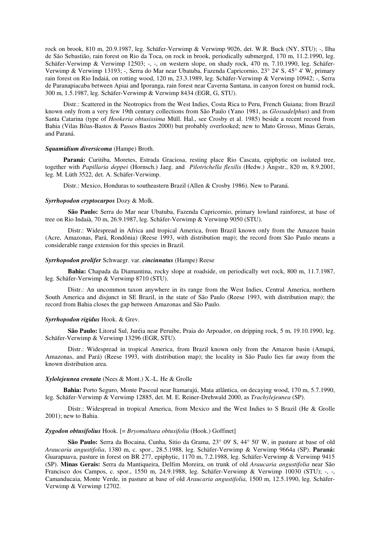rock on brook, 810 m, 20.9.1987, leg. Schäfer-Verwimp & Verwimp 9026, det. W.R. Buck (NY, STU); -, Ilha de São Sebastião, rain forest on Rio da Toca, on rock in brook, periodically submerged, 170 m, 11.2.1990, leg. Schäfer-Verwimp & Verwimp 12503; -, -, on western slope, on shady rock, 470 m, 7.10.1990, leg. Schäfer-Verwimp & Verwimp 13193; -, Serra do Mar near Ubatuba, Fazenda Capricornio, 23° 24' S, 45° 4' W, primary rain forest on Rio Indaiá, on rotting wood, 120 m, 23.3.1989, leg. Schäfer-Verwimp & Verwimp 10942; -, Serra de Paranapiacaba between Apiai and Iporanga, rain forest near Caverna Santana, in canyon forest on humid rock, 300 m, 1.5.1987, leg. Schäfer-Verwimp & Verwimp 8434 (EGR, G, STU).

Distr.: Scattered in the Neotropics from the West Indies, Costa Rica to Peru, French Guiana; from Brazil known only from a very few 19th century collections from São Paulo (Yano 1981, as *Glossadelphus*) and from Santa Catarina (type of *Hookeria obtusissima* Müll. Hal., see Crosby et al. 1985) beside a recent record from Bahia (Vilas Bôas-Bastos & Passos Bastos 2000) but probably overlooked; new to Mato Grosso, Minas Gerais, and Paraná.

#### *Squamidium diversicoma* (Hampe) Broth.

**Paraná:** Curitiba, Moretes, Estrada Graciosa, resting place Rio Cascata, epiphytic on isolated tree, together with *Papillaria deppei* (Hornsch.) Jaeg. and *Pilotrichella flexilis* (Hedw.) Ångstr., 820 m, 8.9.2001, leg. M. Lüth 3522, det. A. Schäfer-Verwimp.

Distr.: Mexico, Honduras to southeastern Brazil (Allen & Crosby 1986). New to Paraná.

#### *Syrrhopodon cryptocarpos* Dozy & Molk.

**São Paulo:** Serra do Mar near Ubatuba, Fazenda Capricornio, primary lowland rainforest, at base of tree on Rio Indaià, 70 m, 26.9.1987, leg. Schäfer-Verwimp & Verwimp 9050 (STU).

Distr.: Widespread in Africa and tropical America, from Brazil known only from the Amazon basin (Acre, Amazonas, Pará, Rondônia) (Reese 1993, with distribution map); the record from São Paulo means a considerable range extension for this species in Brazil.

#### *Syrrhopodon prolifer* Schwaegr. var. *cincinnatus* (Hampe) Reese

**Bahia:** Chapada da Diamantina, rocky slope at roadside, on periodically wet rock, 800 m, 11.7.1987, leg. Schäfer-Verwimp & Verwimp 8710 (STU).

Distr.: An uncommon taxon anywhere in its range from the West Indies, Central America, northern South America and disjunct in SE Brazil, in the state of São Paulo (Reese 1993, with distribution map); the record from Bahia closes the gap between Amazonas and São Paulo.

## *Syrrhopodon rigidus* Hook. & Grev.

**São Paulo:** Litoral Sul, Juréia near Peruibe, Praia do Arpoador, on dripping rock, 5 m, 19.10.1990, leg. Schäfer-Verwimp & Verwimp 13296 (EGR, STU).

Distr.: Widespread in tropical America, from Brazil known only from the Amazon basin (Amapá, Amazonas, and Pará) (Reese 1993, with distribution map); the locality in São Paulo lies far away from the known distribution area.

#### *Xylolejeunea crenata* (Nees & Mont.) X.-L. He & Grolle

**Bahia:** Porto Seguro, Monte Pascoal near Itamarajú, Mata atlântica, on decaying wood, 170 m, 5.7.1990, leg. Schäfer-Verwimp & Verwimp 12885, det. M. E. Reiner-Drehwald 2000, as *Trachylejeunea* (SP).

Distr.: Widespread in tropical America, from Mexico and the West Indies to S Brazil (He & Grolle 2001); new to Bahia.

## *Zygodon obtusifolius* Hook. [= *Bryomaltaea obtusifolia* (Hook.) Goffinet]

**São Paulo:** Serra da Bocaina, Cunha, Sitio da Grama, 23° 09' S, 44° 50' W, in pasture at base of old *Araucaria angustifolia*, 1380 m, c. spor., 28.5.1988, leg. Schäfer-Verwimp & Verwimp 9664a (SP). **Paraná:** Guarapuava, pasture in forest on BR 277, epiphytic, 1170 m, 7.2.1988, leg. Schäfer-Verwimp & Verwimp 9415 (SP). **Minas Gerais:** Serra da Mantiqueira, Delfim Moreira, on trunk of old *Araucaria angustifolia* near São Francisco dos Campos, c. spor., 1550 m, 24.9.1988, leg. Schäfer-Verwimp & Verwimp 10030 (STU); -, -, Camanducaia, Monte Verde, in pasture at base of old *Araucaria angustifolia,* 1500 m, 12.5.1990, leg. Schäfer-Verwimp & Verwimp 12702.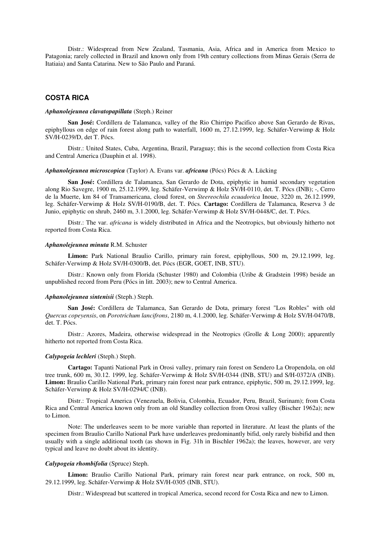Distr.: Widespread from New Zealand, Tasmania, Asia, Africa and in America from Mexico to Patagonia; rarely collected in Brazil and known only from 19th century collections from Minas Gerais (Serra de Itatiaia) and Santa Catarina. New to São Paulo and Paraná.

## **COSTA RICA**

## *Aphanolejeunea clavatopapillata* (Steph.) Reiner

**San José:** Cordillera de Talamanca, valley of the Rio Chirripo Pacifico above San Gerardo de Rivas, epiphyllous on edge of rain forest along path to waterfall, 1600 m, 27.12.1999, leg. Schäfer-Verwimp & Holz SV/H-0239/D, det T. Pócs.

Distr.: United States, Cuba, Argentina, Brazil, Paraguay; this is the second collection from Costa Rica and Central America (Dauphin et al. 1998).

## *Aphanolejeunea microscopica* (Taylor) A. Evans var. *africana* (Pócs) Pócs & A. Lücking

**San José:** Cordillera de Talamanca, San Gerardo de Dota, epiphytic in humid secondary vegetation along Rio Savegre, 1900 m, 25.12.1999, leg. Schäfer-Verwimp & Holz SV/H-0110, det. T. Pócs (INB); -, Cerro de la Muerte, km 84 of Transamericana, cloud forest, on *Steereochila ecuadorica* Inoue, 3220 m, 26.12.1999, leg. Schäfer-Verwimp & Holz SV/H-0190/B, det. T. Pócs. **Cartago:** Cordillera de Talamanca, Reserva 3 de Junio, epiphytic on shrub, 2460 m, 3.1.2000, leg. Schäfer-Verwimp & Holz SV/H-0448/C, det. T. Pócs.

Distr.: The var. *africana* is widely distributed in Africa and the Neotropics, but obviously hitherto not reported from Costa Rica.

#### *Aphanolejeunea minuta* R.M. Schuster

**Limon:** Park National Braulio Carillo, primary rain forest, epiphyllous, 500 m, 29.12.1999, leg. Schäfer-Verwimp & Holz SV/H-0300/B, det. Pócs (EGR, GOET, INB, STU).

Distr.: Known only from Florida (Schuster 1980) and Colombia (Uribe & Gradstein 1998) beside an unpublished record from Peru (Pócs in litt. 2003); new to Central America.

## *Aphanolejeunea sintenisii* (Steph.) Steph.

**San José:** Cordillera de Talamanca, San Gerardo de Dota, primary forest "Los Robles" with old *Quercus copeyensis*, on *Porotrichum lancifrons*, 2180 m, 4.1.2000, leg. Schäfer-Verwimp & Holz SV/H-0470/B, det. T. Pócs.

Distr.: Azores, Madeira, otherwise widespread in the Neotropics (Grolle & Long 2000); apparently hitherto not reported from Costa Rica.

#### *Calypogeia lechleri* (Steph.) Steph.

**Cartago:** Tapanti National Park in Orosi valley, primary rain forest on Sendero La Oropendola, on old tree trunk, 600 m, 30.12. 1999, leg. Schäfer-Verwimp & Holz SV/H-0344 (INB, STU) and S/H-0372/A (INB). **Limon:** Braulio Carillo National Park, primary rain forest near park entrance, epiphytic, 500 m, 29.12.1999, leg. Schäfer-Verwimp & Holz SV/H-0294/C (INB).

Distr.: Tropical America (Venezuela, Bolivia, Colombia, Ecuador, Peru, Brazil, Surinam); from Costa Rica and Central America known only from an old Standley collection from Orosi valley (Bischer 1962a); new to Limon.

Note: The underleaves seem to be more variable than reported in literature. At least the plants of the specimen from Braulio Carillo National Park have underleaves predominantly bifid, only rarely bisbifid and then usually with a single additional tooth (as shown in Fig. 31h in Bischler 1962a); the leaves, however, are very typical and leave no doubt about its identity.

## *Calypogeia rhombifolia* (Spruce) Steph.

**Limon:** Braulio Carillo National Park, primary rain forest near park entrance, on rock, 500 m, 29.12.1999, leg. Schäfer-Verwimp & Holz SV/H-0305 (INB, STU).

Distr.: Widespread but scattered in tropical America, second record for Costa Rica and new to Limon.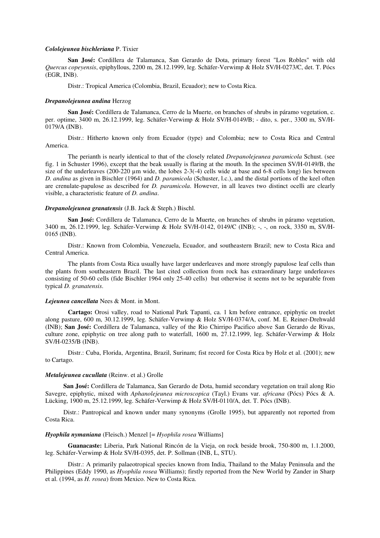#### *Cololejeunea bischleriana* P. Tixier

**San José:** Cordillera de Talamanca, San Gerardo de Dota, primary forest "Los Robles" with old *Quercus copeyensis*, epiphyllous, 2200 m, 28.12.1999, leg. Schäfer-Verwimp & Holz SV/H-0273/C, det. T. Pócs (EGR, INB).

Distr.: Tropical America (Colombia, Brazil, Ecuador); new to Costa Rica.

## *Drepanolejeunea andina* Herzog

**San José:** Cordillera de Talamanca, Cerro de la Muerte, on branches of shrubs in páramo vegetation, c. per. optime, 3400 m, 26.12.1999, leg. Schäfer-Verwimp & Holz SV/H-0149/B; - dito, s. per., 3300 m, SV/H-0179/A (INB).

Distr.: Hitherto known only from Ecuador (type) and Colombia; new to Costa Rica and Central America.

The perianth is nearly identical to that of the closely related *Drepanolejeunea paramicola* Schust. (see fig. 1 in Schuster 1996), except that the beak usually is flaring at the mouth. In the specimen SV/H-0149/B, the size of the underleaves (200-220 µm wide, the lobes 2-3(-4) cells wide at base and 6-8 cells long) lies between *D. andina* as given in Bischler (1964) and *D. paramicola* (Schuster, l.c.), and the distal portions of the keel often are crenulate-papulose as described for *D. paramicola*. However, in all leaves two distinct ocelli are clearly visible, a characteristic feature of *D. andina*.

## *Drepanolejeunea granatensis* (J.B. Jack & Steph.) Bischl.

**San José:** Cordillera de Talamanca, Cerro de la Muerte, on branches of shrubs in páramo vegetation, 3400 m, 26.12.1999, leg. Schäfer-Verwimp & Holz SV/H-0142, 0149/C (INB); -, -, on rock, 3350 m, SV/H-0165 (INB).

Distr.: Known from Colombia, Venezuela, Ecuador, and southeastern Brazil; new to Costa Rica and Central America.

The plants from Costa Rica usually have larger underleaves and more strongly papulose leaf cells than the plants from southeastern Brazil. The last cited collection from rock has extraordinary large underleaves consisting of 50-60 cells (fide Bischler 1964 only 25-40 cells) but otherwise it seems not to be separable from typical *D. granatensis*.

#### *Lejeunea cancellata* Nees & Mont. in Mont.

**Cartago:** Orosi valley, road to National Park Tapanti, ca. 1 km before entrance, epiphytic on treelet along pasture, 600 m, 30.12.1999, leg. Schäfer-Verwimp & Holz SV/H-0374/A, conf. M. E. Reiner-Drehwald (INB); **San José:** Cordillera de Talamanca, valley of the Rio Chirripo Pacifico above San Gerardo de Rivas, culture zone, epiphytic on tree along path to waterfall, 1600 m, 27.12.1999, leg. Schäfer-Verwimp & Holz SV/H-0235/B (INB).

Distr.: Cuba, Florida, Argentina, Brazil, Surinam; fist record for Costa Rica by Holz et al. (2001); new to Cartago.

## *Metalejeunea cucullata* (Reinw. et al.) Grolle

**San José:** Cordillera de Talamanca, San Gerardo de Dota, humid secondary vegetation on trail along Rio Savegre, epiphytic, mixed with *Aphanolejeunea microscopica* (Tayl.) Evans var. *africana* (Pócs) Pócs & A. Lücking, 1900 m, 25.12.1999, leg. Schäfer-Verwimp & Holz SV/H-0110/A, det. T. Pócs (INB).

Distr.: Pantropical and known under many synonyms (Grolle 1995), but apparently not reported from Costa Rica.

#### *Hyophila nymaniana* (Fleisch.) Menzel [= *Hyophila rosea* Williams]

**Guanacaste:** Liberia, Park National Rincón de la Vieja, on rock beside brook, 750-800 m, 1.1.2000, leg. Schäfer-Verwimp & Holz SV/H-0395, det. P. Sollman (INB, L, STU).

Distr.: A primarily palaeotropical species known from India, Thailand to the Malay Peninsula and the Philippines (Eddy 1990, as *Hyophila rosea* Williams); firstly reported from the New World by Zander in Sharp et al. (1994, as *H. rosea*) from Mexico. New to Costa Rica.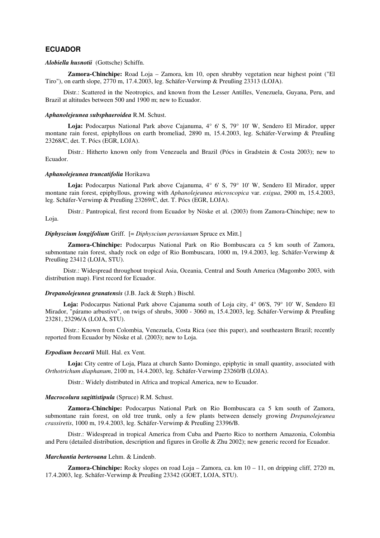## **ECUADOR**

#### *Alobiella husnotii*(Gottsche) Schiffn.

**Zamora-Chinchipe:** Road Loja – Zamora, km 10, open shrubby vegetation near highest point ("El Tiro"), on earth slope,  $2770$  m,  $17.4.2003$ , leg. Schäfer-Verwimp & Preußing 23313 (LOJA).

Distr.: Scattered in the Neotropics, and known from the Lesser Antilles, Venezuela, Guyana, Peru, and Brazil at altitudes between 500 and 1900 m; new to Ecuador.

## *Aphanolejeunea subsphaeroidea* R.M. Schust.

**Loja:** Podocarpus National Park above Cajanuma, 4° 6' S, 79° 10' W, Sendero El Mirador, upper montane rain forest, epiphyllous on earth bromeliad, 2890 m, 15.4.2003, leg. Schäfer-Verwimp & Preußing 23268/C, det. T. Pócs (EGR, LOJA).

Distr.: Hitherto known only from Venezuela and Brazil (Pócs in Gradstein & Costa 2003); new to Ecuador.

## *Aphanolejeunea truncatifolia* Horikawa

**Loja:** Podocarpus National Park above Cajanuma, 4° 6' S, 79° 10' W, Sendero El Mirador, upper montane rain forest, epiphyllous, growing with *Aphanolejeunea microscopica* var. *exigua*, 2900 m, 15.4.2003, leg. Schäfer-Verwimp & Preußing 23269/C, det. T. Pócs (EGR, LOJA).

Distr.: Pantropical, first record from Ecuador by Nöske et al. (2003) from Zamora-Chinchipe; new to Loja.

## *Diphyscium longifolium* Griff. [= *Diphyscium peruvianum* Spruce ex Mitt.]

**Zamora-Chinchipe:** Podocarpus National Park on Rio Bombuscara ca 5 km south of Zamora, submontane rain forest, shady rock on edge of Rio Bombuscara, 1000 m, 19.4.2003, leg. Schäfer-Verwimp & Preußing 23412 (LOJA, STU).

Distr.: Widespread throughout tropical Asia, Oceania, Central and South America (Magombo 2003, with distribution map). First record for Ecuador.

## *Drepanolejeunea granatensis* (J.B. Jack & Steph.) Bischl.

**Loja:** Podocarpus National Park above Cajanuma south of Loja city, 4° 06'S, 79° 10' W, Sendero El Mirador, "páramo arbustivo", on twigs of shrubs, 3000 - 3060 m, 15.4.2003, leg. Schäfer-Verwimp & Preußing 23281, 23296/A (LOJA, STU).

Distr.: Known from Colombia, Venezuela, Costa Rica (see this paper), and southeastern Brazil; recently reported from Ecuador by Nöske et al. (2003); new to Loja.

## *Erpodium beccarii* Müll. Hal. ex Vent.

**Loja:** City centre of Loja, Plaza at church Santo Domingo, epiphytic in small quantity, associated with *Orthotrichum diaphanum*, 2100 m, 14.4.2003, leg. Schäfer-Verwimp 23260/B (LOJA).

Distr.: Widely distributed in Africa and tropical America, new to Ecuador.

#### *Macrocolura sagittistipula* (Spruce) R.M. Schust.

**Zamora-Chinchipe:** Podocarpus National Park on Rio Bombuscara ca 5 km south of Zamora, submontane rain forest, on old tree trunk, only a few plants between densely growing *Drepanolejeunea crassiretis*, 1000 m, 19.4.2003, leg. Schäfer-Verwimp & Preußing 23396/B.

Distr.: Widespread in tropical America from Cuba and Puerto Rico to northern Amazonia, Colombia and Peru (detailed distribution, description and figures in Grolle & Zhu 2002); new generic record for Ecuador.

## *Marchantia berteroana* Lehm. & Lindenb.

**Zamora-Chinchipe:** Rocky slopes on road Loja – Zamora, ca. km 10 – 11, on dripping cliff, 2720 m, 17.4.2003, leg. Schäfer-Verwimp & Preußing 23342 (GOET, LOJA, STU).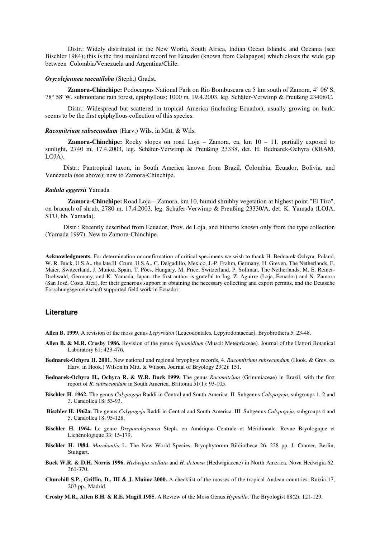Distr.: Widely distributed in the New World, South Africa, Indian Ocean Islands, and Oceania (see Bischler 1984); this is the first mainland record for Ecuador (known from Galapagos) which closes the wide gap between Colombia/Venezuela and Argentina/Chile.

#### *Oryzolejeunea saccatiloba* (Steph.) Gradst.

**Zamora-Chinchipe:** Podocarpus National Park on Rio Bombuscara ca 5 km south of Zamora, 4° 06' S, 78° 58' W, submontane rain forest, epiphyllous; 1000 m, 19.4.2003, leg. Schäfer-Verwimp & Preußing 23408/C.

Distr.: Widespread but scattered in tropical America (including Ecuador), usually growing on bark; seems to be the first epiphyllous collection of this species.

#### *Racomitrium subsecundum* (Harv.) Wils. in Mitt. & Wils.

**Zamora-Chinchipe:** Rocky slopes on road Loja – Zamora, ca. km 10 – 11, partially exposed to sunlight, 2740 m, 17.4.2003, leg. Schäfer-Verwimp & Preußing 23338, det. H. Bednarek-Ochyra (KRAM, LOJA).

Distr.: Pantropical taxon, in South America known from Brazil, Colombia, Ecuador, Bolivia, and Venezuela (see above); new to Zamora-Chinchipe.

#### *Radula eggersii* Yamada

**Zamora-Chinchipe:** Road Loja – Zamora, km 10, humid shrubby vegetation at highest point "El Tiro", on bracnch of shrub, 2780 m, 17.4.2003, leg. Schäfer-Verwimp & Preußing 23330/A, det. K. Yamada (LOJA, STU, hb. Yamada).

Distr.: Recently described from Ecuador, Prov. de Loja, and hitherto known only from the type collection (Yamada 1997). New to Zamora-Chinchipe.

**Acknowledgments.** For determination or confirmation of critical specimens we wish to thank H. Bednarek-Ochyra, Poland, W. R. Buck, U.S.A., the late H. Crum, U.S.A., C. Delgadillo, Mexico, J.-P. Frahm, Germany, H. Greven, The Netherlands, E. Maier, Switzerland, J. Muñoz, Spain, T. Pócs, Hungary, M. Price, Switzerland, P. Sollman, The Netherlands, M. E. Reiner-Drehwald, Germany, and K. Yamada, Japan. the first author is grateful to Ing. Z. Aguirre (Loja, Ecuador) and N. Zamora (San José, Costa Rica), for their generous support in obtaining the necessary collecting and export permits, and the Deutsche Forschungsgemeinschaft supported field work in Ecuador.

## **Literature**

**Allen B. 1999.** A revision of the moss genus *Lepyrodon* (Leucodontales, Lepyrodontaceae). Bryobrothera 5: 23-48.

- **Allen B. & M.R. Crosby 1986.** Revision of the genus *Squamidium* (Musci: Meteoriaceae). Journal of the Hattori Botanical Laboratory 61: 423-476.
- **Bednarek-Ochyra H. 2001.** New national and regional bryophyte records, 4. *Racomitrium subsecundum* (Hook. & Grev. ex Harv. in Hook.) Wilson in Mitt. & Wilson. Journal of Bryology 23(2): 151.
- **Bednarek-Ochyra H., Ochyra R. & W.R. Buck 1999.** The genus *Racomitrium* (Grimmiaceae) in Brazil, with the first report of *R. subsecundum* in South America. Brittonia 51(1): 93-105.
- **Bischler H. 1962.** The genus *Calypogeja* Raddi in Central and South America. II. Subgenus *Calypogeja*, subgroups 1, 2 and 3. Candollea 18: 53-93.
- **Bischler H. 1962a.** The genus *Calypogeja* Raddi in Central and South America. III. Subgenus *Calypogeja*, subgroups 4 and 5. Candollea 18: 95-128.
- **Bischler H. 1964.** Le genre *Drepanolejeunea* Steph. en Amérique Centrale et Méridionale. Revue Bryologique et Lichénologique 33: 15-179.
- **Bischler H. 1984.** *Marchantia* L. The New World Species. Bryophytorum Bibliotheca 26, 228 pp. J. Cramer, Berlin, Stuttgart.
- **Buck W.R. & D.H. Norris 1996.** *Hedwigia stellata* and *H. detonsa* (Hedwigiaceae) in North America. Nova Hedwigia 62: 361-370.
- **Churchill S.P., Griffin, D., III & J. Muñoz 2000.** A checklist of the mosses of the tropical Andean countries. Ruizia 17, 203 pp., Madrid.
- **Crosby M.R., Allen B.H. & R.E. Magill 1985.** A Review of the Moss Genus *Hypnella*. The Bryologist 88(2): 121-129.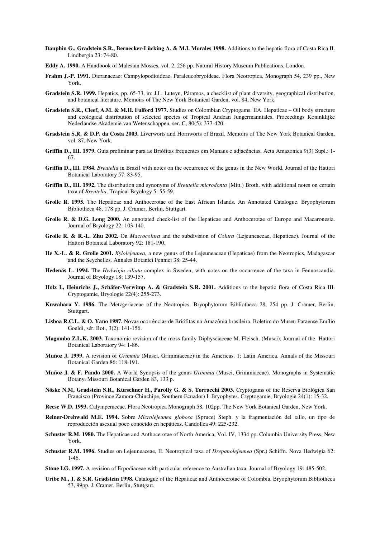- **Dauphin G., Gradstein S.R., Bernecker-Lücking A. & M.I. Morales 1998.** Additions to the hepatic flora of Costa Rica II. Lindbergia 23: 74-80.
- **Eddy A. 1990.** A Handbook of Malesian Mosses, vol. 2, 256 pp. Natural History Museum Publications, London*.*
- **Frahm J.-P. 1991.** Dicranaceae: Campylopodioideae, Paraleucobryoideae. Flora Neotropica, Monograph 54, 239 pp., New York.
- **Gradstein S.R. 1999.** Hepatics, pp. 65-73, in: J.L. Luteyn, Páramos, a checklist of plant diversity, geographical distribution, and botanical literature. Memoirs of The New York Botanical Garden, vol. 84, New York.
- **Gradstein S.R., Cleef, A.M. & M.H. Fulford 1977.** Studies on Colombian Cryptogams. IIA. Hepaticae Oil body structure and ecological distribution of selected species of Tropical Andean Jungermanniales. Proceedings Koninklijke Nederlandse Akademie van Wetenschappen, ser. C, 80(5): 377-420.
- **Gradstein S.R. & D.P. da Costa 2003.** Liverworts and Hornworts of Brazil. Memoirs of The New York Botanical Garden, vol. 87, New York.
- **Griffin D., III. 1979.** Guia preliminar para as Briófitas frequentes em Manaus e adjacências. Acta Amazonica 9(3) Supl.: 1- 67.
- **Griffin D., III. 1984.** *Breutelia* in Brazil with notes on the occurrence of the genus in the New World. Journal of the Hattori Botanical Laboratory 57: 83-95.
- **Griffin D., III. 1992.** The distribution and synonyms of *Breutelia microdonta* (Mitt.) Broth. with additional notes on certain taxa of *Breutelia*. Tropical Bryology 5: 55-59.
- **Grolle R. 1995.** The Hepaticae and Anthocerotae of the East African Islands. An Annotated Catalogue. Bryophytorum Bibliotheca 48, 178 pp. J. Cramer, Berlin, Stuttgart.
- Grolle R. & D.G. Long 2000. An annotated check-list of the Hepaticae and Anthocerotae of Europe and Macaronesia. Journal of Bryology 22: 103-140.
- **Grolle R. & R.-L. Zhu 2002.** On *Macrocolura* and the subdivision of *Colura* (Lejeuneaceae, Hepaticae). Journal of the Hattori Botanical Laboratory 92: 181-190.
- **He X.-L. & R. Grolle 2001.** *Xylolejeunea,* a new genus of the Lejeuneaceae (Hepaticae) from the Neotropics, Madagascar and the Seychelles. Annales Botanici Fennici 38: 25-44.
- **Hedenäs L. 1994.** The *Hedwigia ciliata* complex in Sweden, with notes on the occurrence of the taxa in Fennoscandia. Journal of Bryology 18: 139-157.
- **Holz I., Heinrichs J., Schäfer-Verwimp A. & Gradstein S.R. 2001.** Additions to the hepatic flora of Costa Rica III. Cryptogamie, Bryologie 22(4): 255-273.
- **Kuwahara Y. 1986.** The Metzgeriaceae of the Neotropics. Bryophytorum Bibliotheca 28, 254 pp. J. Cramer, Berlin, Stuttgart.
- **Lisboa R.C.L. & O. Yano 1987.** Novas ocorrências de Briófitas na Amazônia brasileira. Boletim do Museu Paraense Emílio Goeldi, sér. Bot., 3(2): 141-156.
- **Magombo Z.L.K. 2003.** Taxonomic revision of the moss family Diphysciaceae M. Fleisch. (Musci). Journal of the Hattori Botanical Laboratory 94: 1-86.
- **Muñoz J. 1999.** A revision of *Grimmia* (Musci, Grimmiaceae) in the Americas. 1: Latin America. Annals of the Missouri Botanical Garden 86: 118-191.
- **Muñoz J. & F. Pando 2000.** A World Synopsis of the genus *Grimmia* (Musci, Grimmiaceae). Monographs in Systematic Botany, Missouri Botanical Garden 83, 133 p.
- **Nöske N.M, Gradstein S.R., Kürschner H., Parolly G. & S. Torracchi 2003.** Cryptogams of the Reserva Biológica San Francisco (Province Zamora-Chinchipe, Southern Ecuador) I. Bryophytes. Cryptogamie, Bryologie 24(1): 15-32.
- **Reese W.D. 1993.** Calymperaceae. Flora Neotropica Monograph 58, 102pp. The New York Botanical Garden, New York.
- **Reiner-Drehwald M.E. 1994.** Sobre *Microlejeunea globosa* (Spruce) Steph. y la fragmentación del tallo, un tipo de reproducción asexual poco conocido en hepáticas. Candollea 49: 225-232.
- **Schuster R.M. 1980.** The Hepaticae and Anthocerotae of North America, Vol. IV, 1334 pp. Columbia University Press, New York.
- **Schuster R.M. 1996.** Studies on Lejeuneaceae, II. Neotropical taxa of *Drepanolejeunea* (Spr.) Schiffn. Nova Hedwigia 62: 1-46.
- **Stone I.G. 1997.** A revision of Erpodiaceae with particular reference to Australian taxa. Journal of Bryology 19: 485-502.
- **Uribe M., J. & S.R. Gradstein 1998.** Catalogue of the Hepaticae and Anthocerotae of Colombia. Bryophytorum Bibliotheca 53, 99pp. J. Cramer, Berlin, Stuttgart.